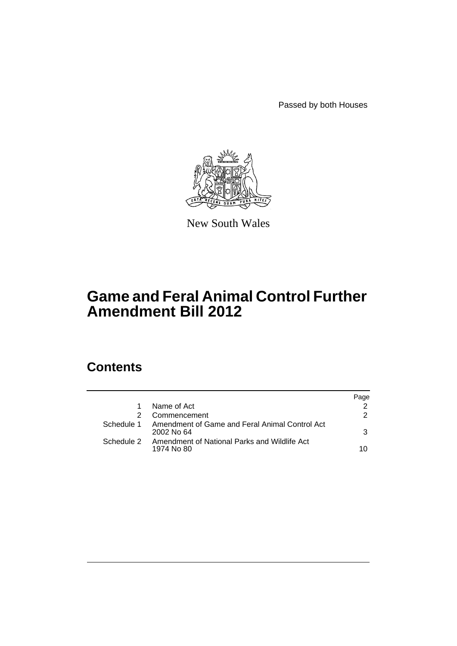Passed by both Houses



New South Wales

# **Game and Feral Animal Control Further Amendment Bill 2012**

# **Contents**

|                                                                         | Page          |
|-------------------------------------------------------------------------|---------------|
| Name of Act                                                             |               |
| Commencement                                                            | $\mathcal{P}$ |
| Schedule 1 Amendment of Game and Feral Animal Control Act<br>2002 No 64 | 3             |
| Schedule 2 Amendment of National Parks and Wildlife Act<br>1974 No 80   | 10            |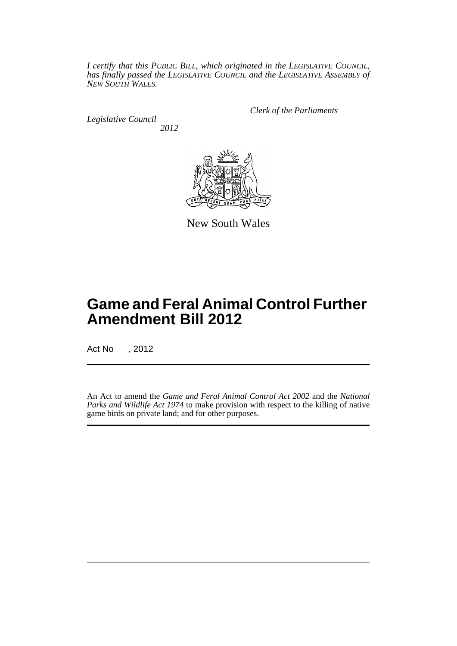*I certify that this PUBLIC BILL, which originated in the LEGISLATIVE COUNCIL, has finally passed the LEGISLATIVE COUNCIL and the LEGISLATIVE ASSEMBLY of NEW SOUTH WALES.*

*Legislative Council 2012* *Clerk of the Parliaments*



New South Wales

# **Game and Feral Animal Control Further Amendment Bill 2012**

Act No , 2012

An Act to amend the *Game and Feral Animal Control Act 2002* and the *National Parks and Wildlife Act 1974* to make provision with respect to the killing of native game birds on private land; and for other purposes.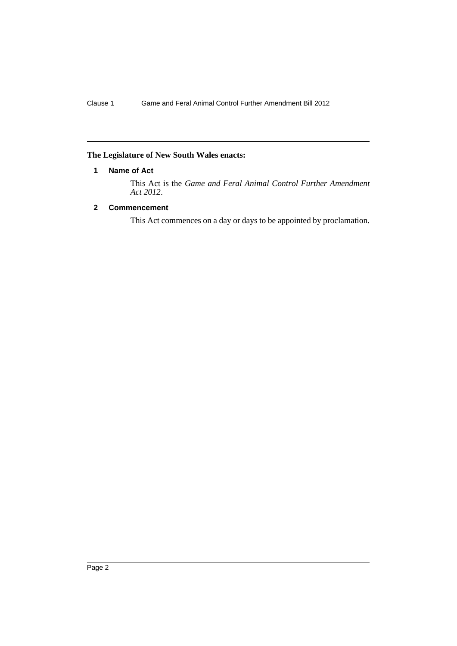# <span id="page-3-0"></span>**The Legislature of New South Wales enacts:**

# **1 Name of Act**

This Act is the *Game and Feral Animal Control Further Amendment Act 2012*.

# <span id="page-3-1"></span>**2 Commencement**

This Act commences on a day or days to be appointed by proclamation.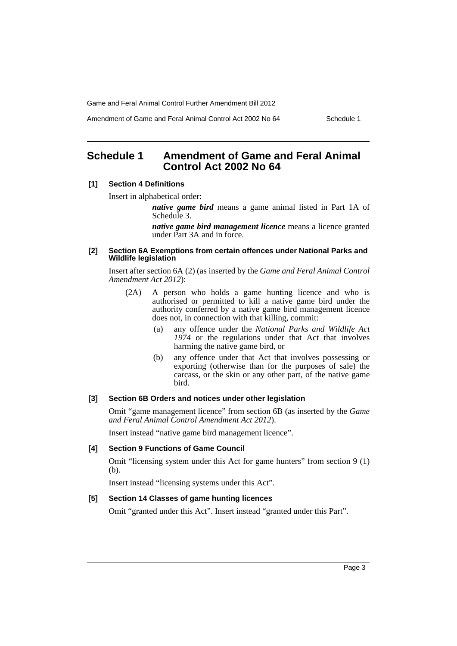Amendment of Game and Feral Animal Control Act 2002 No 64 Schedule 1

# <span id="page-4-0"></span>**Schedule 1 Amendment of Game and Feral Animal Control Act 2002 No 64**

#### **[1] Section 4 Definitions**

Insert in alphabetical order:

*native game bird* means a game animal listed in Part 1A of Schedule 3.

*native game bird management licence* means a licence granted under Part 3A and in force.

#### **[2] Section 6A Exemptions from certain offences under National Parks and Wildlife legislation**

Insert after section 6A (2) (as inserted by the *Game and Feral Animal Control Amendment Act 2012*):

- (2A) A person who holds a game hunting licence and who is authorised or permitted to kill a native game bird under the authority conferred by a native game bird management licence does not, in connection with that killing, commit:
	- (a) any offence under the *National Parks and Wildlife Act 1974* or the regulations under that Act that involves harming the native game bird, or
	- (b) any offence under that Act that involves possessing or exporting (otherwise than for the purposes of sale) the carcass, or the skin or any other part, of the native game bird.

#### **[3] Section 6B Orders and notices under other legislation**

Omit "game management licence" from section 6B (as inserted by the *Game and Feral Animal Control Amendment Act 2012*).

Insert instead "native game bird management licence".

## **[4] Section 9 Functions of Game Council**

Omit "licensing system under this Act for game hunters" from section 9 (1) (b).

Insert instead "licensing systems under this Act".

#### **[5] Section 14 Classes of game hunting licences**

Omit "granted under this Act". Insert instead "granted under this Part".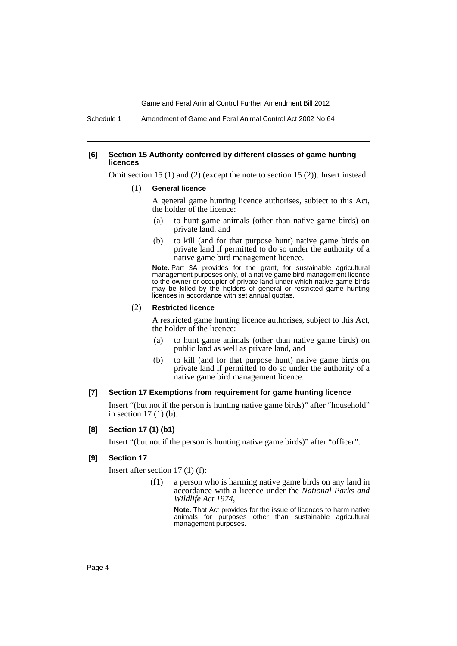Schedule 1 Amendment of Game and Feral Animal Control Act 2002 No 64

#### **[6] Section 15 Authority conferred by different classes of game hunting licences**

Omit section 15 (1) and (2) (except the note to section 15 (2)). Insert instead:

(1) **General licence**

A general game hunting licence authorises, subject to this Act, the holder of the licence:

- (a) to hunt game animals (other than native game birds) on private land, and
- (b) to kill (and for that purpose hunt) native game birds on private land if permitted to do so under the authority of a native game bird management licence.

**Note.** Part 3A provides for the grant, for sustainable agricultural management purposes only, of a native game bird management licence to the owner or occupier of private land under which native game birds may be killed by the holders of general or restricted game hunting licences in accordance with set annual quotas.

#### (2) **Restricted licence**

A restricted game hunting licence authorises, subject to this Act, the holder of the licence:

- (a) to hunt game animals (other than native game birds) on public land as well as private land, and
- (b) to kill (and for that purpose hunt) native game birds on private land if permitted to do so under the authority of a native game bird management licence.

## **[7] Section 17 Exemptions from requirement for game hunting licence**

Insert "(but not if the person is hunting native game birds)" after "household" in section 17 (1) (b).

#### **[8] Section 17 (1) (b1)**

Insert "(but not if the person is hunting native game birds)" after "officer".

#### **[9] Section 17**

Insert after section 17 (1) (f):

(f1) a person who is harming native game birds on any land in accordance with a licence under the *National Parks and Wildlife Act 1974*,

> **Note.** That Act provides for the issue of licences to harm native animals for purposes other than sustainable agricultural management purposes.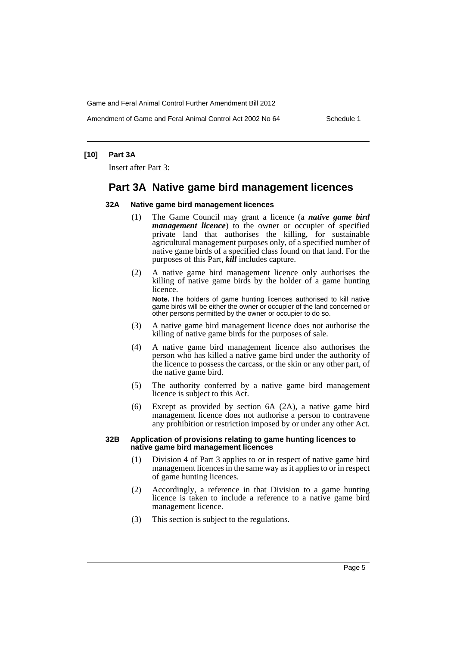Amendment of Game and Feral Animal Control Act 2002 No 64 Schedule 1

## **[10] Part 3A**

Insert after Part 3:

# **Part 3A Native game bird management licences**

#### **32A Native game bird management licences**

- (1) The Game Council may grant a licence (a *native game bird management licence*) to the owner or occupier of specified private land that authorises the killing, for sustainable agricultural management purposes only, of a specified number of native game birds of a specified class found on that land. For the purposes of this Part, *kill* includes capture.
- (2) A native game bird management licence only authorises the killing of native game birds by the holder of a game hunting licence. **Note.** The holders of game hunting licences authorised to kill native

game birds will be either the owner or occupier of the land concerned or other persons permitted by the owner or occupier to do so.

- (3) A native game bird management licence does not authorise the killing of native game birds for the purposes of sale.
- (4) A native game bird management licence also authorises the person who has killed a native game bird under the authority of the licence to possess the carcass, or the skin or any other part, of the native game bird.
- (5) The authority conferred by a native game bird management licence is subject to this Act.
- (6) Except as provided by section 6A (2A), a native game bird management licence does not authorise a person to contravene any prohibition or restriction imposed by or under any other Act.

#### **32B Application of provisions relating to game hunting licences to native game bird management licences**

- (1) Division 4 of Part 3 applies to or in respect of native game bird management licences in the same way as it applies to or in respect of game hunting licences.
- (2) Accordingly, a reference in that Division to a game hunting licence is taken to include a reference to a native game bird management licence.
- (3) This section is subject to the regulations.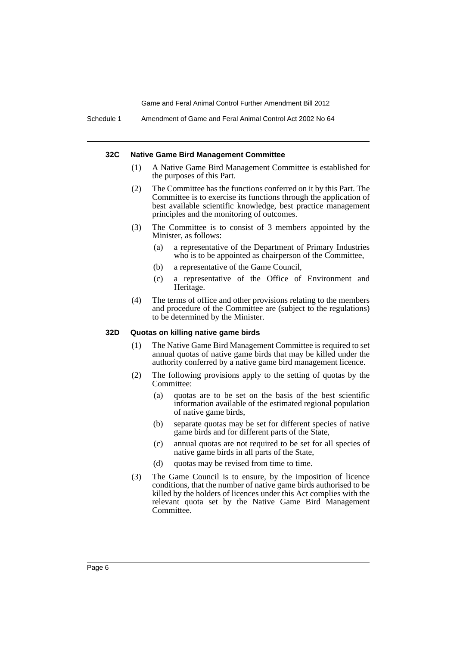#### **32C Native Game Bird Management Committee**

- (1) A Native Game Bird Management Committee is established for the purposes of this Part.
- (2) The Committee has the functions conferred on it by this Part. The Committee is to exercise its functions through the application of best available scientific knowledge, best practice management principles and the monitoring of outcomes.
- (3) The Committee is to consist of 3 members appointed by the Minister, as follows:
	- (a) a representative of the Department of Primary Industries who is to be appointed as chairperson of the Committee,
	- (b) a representative of the Game Council,
	- (c) a representative of the Office of Environment and Heritage.
- (4) The terms of office and other provisions relating to the members and procedure of the Committee are (subject to the regulations) to be determined by the Minister.

## **32D Quotas on killing native game birds**

- (1) The Native Game Bird Management Committee is required to set annual quotas of native game birds that may be killed under the authority conferred by a native game bird management licence.
- (2) The following provisions apply to the setting of quotas by the Committee:
	- (a) quotas are to be set on the basis of the best scientific information available of the estimated regional population of native game birds,
	- (b) separate quotas may be set for different species of native game birds and for different parts of the State,
	- (c) annual quotas are not required to be set for all species of native game birds in all parts of the State,
	- (d) quotas may be revised from time to time.
- (3) The Game Council is to ensure, by the imposition of licence conditions, that the number of native game birds authorised to be killed by the holders of licences under this Act complies with the relevant quota set by the Native Game Bird Management Committee.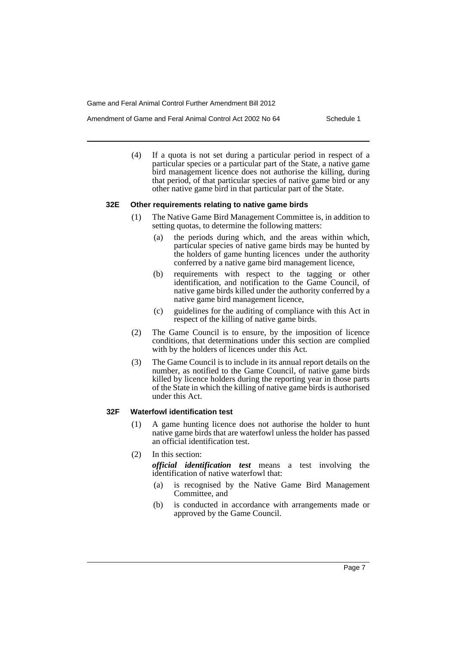- Amendment of Game and Feral Animal Control Act 2002 No 64 Schedule 1
	- (4) If a quota is not set during a particular period in respect of a particular species or a particular part of the State, a native game bird management licence does not authorise the killing, during that period, of that particular species of native game bird or any other native game bird in that particular part of the State.

#### **32E Other requirements relating to native game birds**

- (1) The Native Game Bird Management Committee is, in addition to setting quotas, to determine the following matters:
	- (a) the periods during which, and the areas within which, particular species of native game birds may be hunted by the holders of game hunting licences under the authority conferred by a native game bird management licence,
	- (b) requirements with respect to the tagging or other identification, and notification to the Game Council, of native game birds killed under the authority conferred by a native game bird management licence,
	- (c) guidelines for the auditing of compliance with this Act in respect of the killing of native game birds.
- (2) The Game Council is to ensure, by the imposition of licence conditions, that determinations under this section are complied with by the holders of licences under this Act.
- (3) The Game Council is to include in its annual report details on the number, as notified to the Game Council, of native game birds killed by licence holders during the reporting year in those parts of the State in which the killing of native game birds is authorised under this Act.

## **32F Waterfowl identification test**

- (1) A game hunting licence does not authorise the holder to hunt native game birds that are waterfowl unless the holder has passed an official identification test.
- (2) In this section:

*official identification test* means a test involving the identification of native waterfowl that:

- (a) is recognised by the Native Game Bird Management Committee, and
- (b) is conducted in accordance with arrangements made or approved by the Game Council.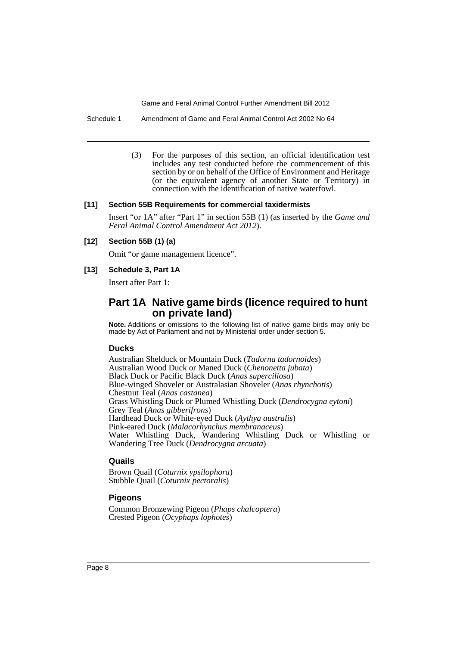Schedule 1 Amendment of Game and Feral Animal Control Act 2002 No 64

(3) For the purposes of this section, an official identification test includes any test conducted before the commencement of this section by or on behalf of the Office of Environment and Heritage (or the equivalent agency of another State or Territory) in connection with the identification of native waterfowl.

#### **[11] Section 55B Requirements for commercial taxidermists**

Insert "or 1A" after "Part 1" in section 55B (1) (as inserted by the *Game and Feral Animal Control Amendment Act 2012*).

#### **[12] Section 55B (1) (a)**

Omit "or game management licence".

#### **[13] Schedule 3, Part 1A**

Insert after Part 1:

# **Part 1A Native game birds (licence required to hunt on private land)**

**Note.** Additions or omissions to the following list of native game birds may only be made by Act of Parliament and not by Ministerial order under section 5.

### **Ducks**

Australian Shelduck or Mountain Duck (*Tadorna tadornoides*) Australian Wood Duck or Maned Duck (*Chenonetta jubata*) Black Duck or Pacific Black Duck (*Anas superciliosa*) Blue-winged Shoveler or Australasian Shoveler (*Anas rhynchotis*) Chestnut Teal (*Anas castanea*) Grass Whistling Duck or Plumed Whistling Duck (*Dendrocygna eytoni*) Grey Teal (*Anas gibberifrons*) Hardhead Duck or White-eyed Duck (*Aythya australis*) Pink-eared Duck (*Malacorhynchus membranaceus*) Water Whistling Duck, Wandering Whistling Duck or Whistling or Wandering Tree Duck (*Dendrocygna arcuata*)

## **Quails**

Brown Quail (*Coturnix ypsilophora*) Stubble Quail (*Coturnix pectoralis*)

### **Pigeons**

Common Bronzewing Pigeon (*Phaps chalcoptera*) Crested Pigeon (*Ocyphaps lophotes*)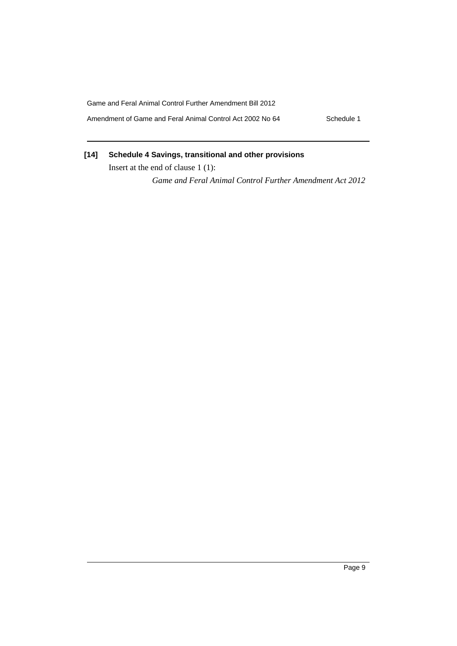Amendment of Game and Feral Animal Control Act 2002 No 64 Schedule 1

# **[14] Schedule 4 Savings, transitional and other provisions**

Insert at the end of clause 1 (1):

*Game and Feral Animal Control Further Amendment Act 2012*